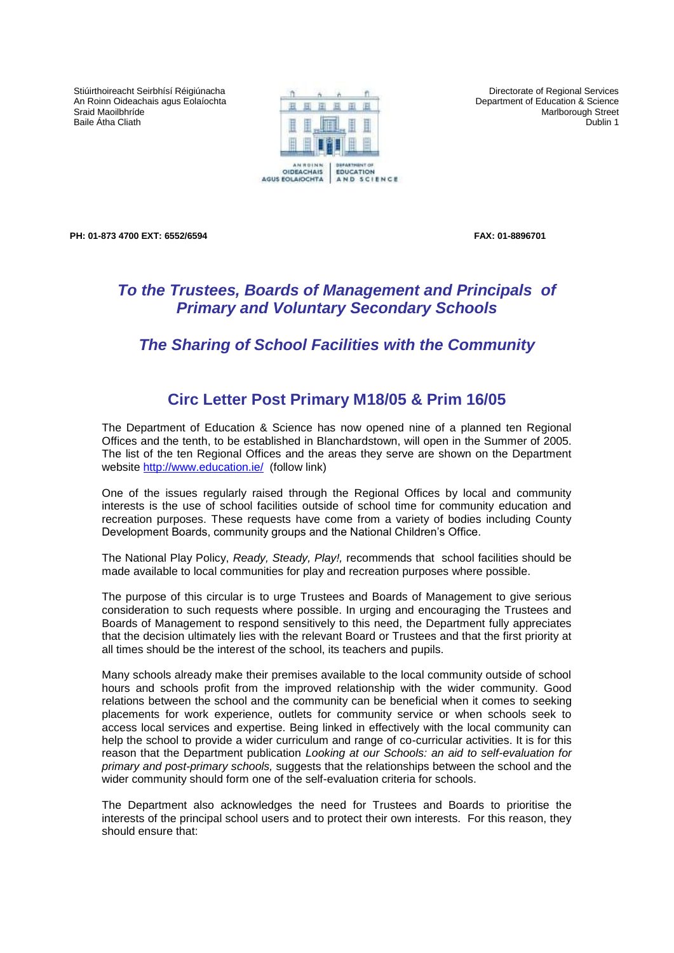Stiúirthoireacht Seirbhísí Réigiúnacha An Roinn Oideachais agus Eolaíochta Sraid Maoilbhríde Baile Átha Cliath



Directorate of Regional Services Department of Education & Science Marlborough Street Dublin 1

**PH: 01-873 4700 EXT: 6552/6594 FAX: 01-8896701** 

## *To the Trustees, Boards of Management and Principals of Primary and Voluntary Secondary Schools*

## *The Sharing of School Facilities with the Community*

## **Circ Letter Post Primary M18/05 & Prim 16/05**

The Department of Education & Science has now opened nine of a planned ten Regional Offices and the tenth, to be established in Blanchardstown, will open in the Summer of 2005. The list of the ten Regional Offices and the areas they serve are shown on the Department website [http://www.education.ie/](http://www.education.ie/home/home.jsp?maincat=&pcategory=10917&ecategory=27180&language=EN&letter=R捨) (follow link)

One of the issues regularly raised through the Regional Offices by local and community interests is the use of school facilities outside of school time for community education and recreation purposes. These requests have come from a variety of bodies including County Development Boards, community groups and the National Children's Office.

The National Play Policy, *Ready, Steady, Play!,* recommends that school facilities should be made available to local communities for play and recreation purposes where possible.

The purpose of this circular is to urge Trustees and Boards of Management to give serious consideration to such requests where possible. In urging and encouraging the Trustees and Boards of Management to respond sensitively to this need, the Department fully appreciates that the decision ultimately lies with the relevant Board or Trustees and that the first priority at all times should be the interest of the school, its teachers and pupils.

Many schools already make their premises available to the local community outside of school hours and schools profit from the improved relationship with the wider community. Good relations between the school and the community can be beneficial when it comes to seeking placements for work experience, outlets for community service or when schools seek to access local services and expertise. Being linked in effectively with the local community can help the school to provide a wider curriculum and range of co-curricular activities. It is for this reason that the Department publication *Looking at our Schools: an aid to self-evaluation for primary and post-primary schools,* suggests that the relationships between the school and the wider community should form one of the self-evaluation criteria for schools.

The Department also acknowledges the need for Trustees and Boards to prioritise the interests of the principal school users and to protect their own interests. For this reason, they should ensure that: